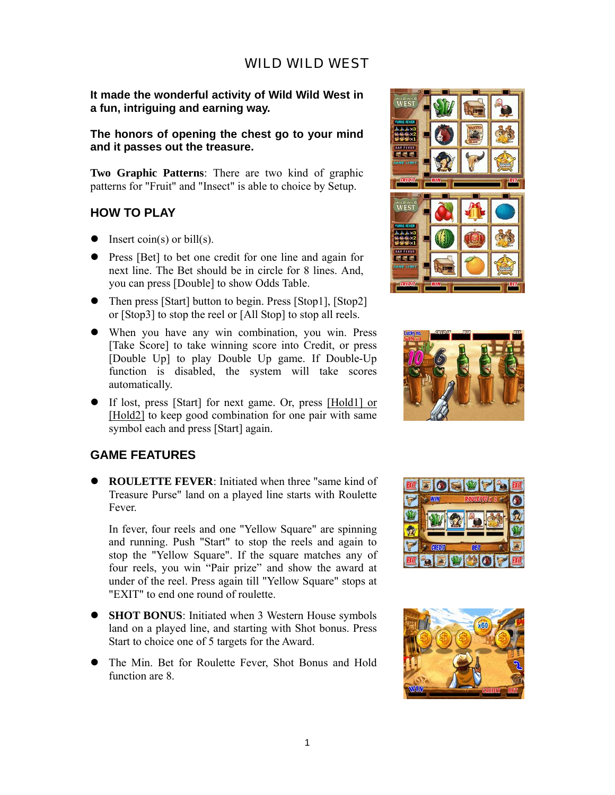## WILD WILD WEST

**It made the wonderful activity of Wild Wild West in a fun, intriguing and earning way.** 

**The honors of opening the chest go to your mind and it passes out the treasure.** 

**Two Graphic Patterns**: There are two kind of graphic patterns for "Fruit" and "Insect" is able to choice by Setup.

### **HOW TO PLAY**

- $\bullet$  Insert coin(s) or bill(s).
- Press [Bet] to bet one credit for one line and again for next line. The Bet should be in circle for 8 lines. And, you can press [Double] to show Odds Table.
- $\bullet$  Then press [Start] button to begin. Press [Stop1], [Stop2] or [Stop3] to stop the reel or [All Stop] to stop all reels.
- When you have any win combination, you win. Press [Take Score] to take winning score into Credit, or press [Double Up] to play Double Up game. If Double-Up function is disabled, the system will take scores automatically.
- If lost, press [Start] for next game. Or, press [Hold1] or [Hold2] to keep good combination for one pair with same symbol each and press [Start] again.

### **GAME FEATURES**

**• ROULETTE FEVER:** Initiated when three "same kind of Treasure Purse" land on a played line starts with Roulette Fever.

In fever, four reels and one "Yellow Square" are spinning and running. Push "Start" to stop the reels and again to stop the "Yellow Square". If the square matches any of four reels, you win "Pair prize" and show the award at under of the reel. Press again till "Yellow Square" stops at "EXIT" to end one round of roulette.

- **SHOT BONUS**: Initiated when 3 Western House symbols land on a played line, and starting with Shot bonus. Press Start to choice one of 5 targets for the Award.
- The Min. Bet for Roulette Fever, Shot Bonus and Hold function are 8.







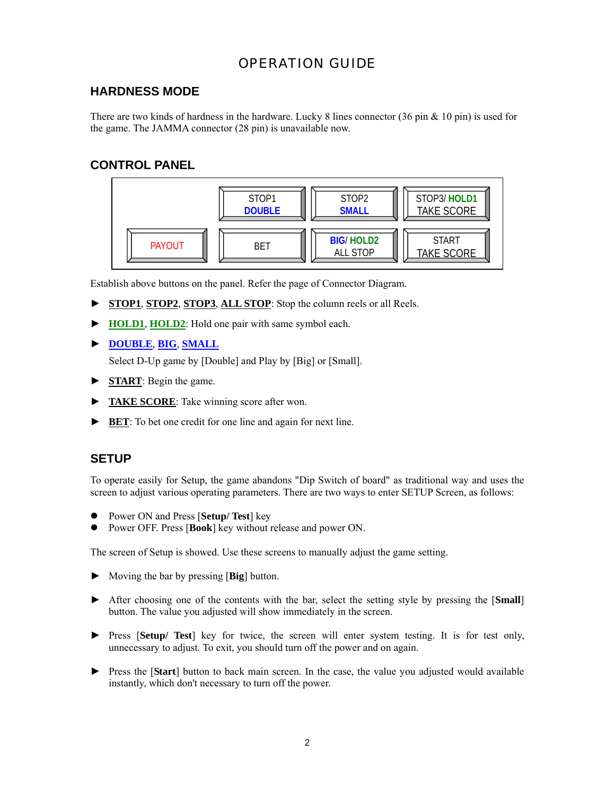# OPERATION GUIDE

# **HARDNESS MODE**

There are two kinds of hardness in the hardware. Lucky 8 lines connector (36 pin & 10 pin) is used for the game. The JAMMA connector (28 pin) is unavailable now.

# **CONTROL PANEL**



Establish above buttons on the panel. Refer the page of Connector Diagram.

- ► **STOP1**, **STOP2**, **STOP3**, **ALL STOP**: Stop the column reels or all Reels.
- ► **HOLD1**, **HOLD2**: Hold one pair with same symbol each.
- ► **DOUBLE**, **BIG**, **SMALL**

Select D-Up game by [Double] and Play by [Big] or [Small].

- ► **START**: Begin the game.
- ► **TAKE SCORE**: Take winning score after won.
- ► **BET**: To bet one credit for one line and again for next line.

### **SETUP**

To operate easily for Setup, the game abandons "Dip Switch of board" as traditional way and uses the screen to adjust various operating parameters. There are two ways to enter SETUP Screen, as follows:

- Power ON and Press [**Setup/ Test**] key
- Power OFF. Press [**Book**] key without release and power ON.

The screen of Setup is showed. Use these screens to manually adjust the game setting.

- ► Moving the bar by pressing [**Big**] button.
- ► After choosing one of the contents with the bar, select the setting style by pressing the [**Small**] button. The value you adjusted will show immediately in the screen.
- ► Press [**Setup/ Test**] key for twice, the screen will enter system testing. It is for test only, unnecessary to adjust. To exit, you should turn off the power and on again.
- ► Press the [**Start**] button to back main screen. In the case, the value you adjusted would available instantly, which don't necessary to turn off the power.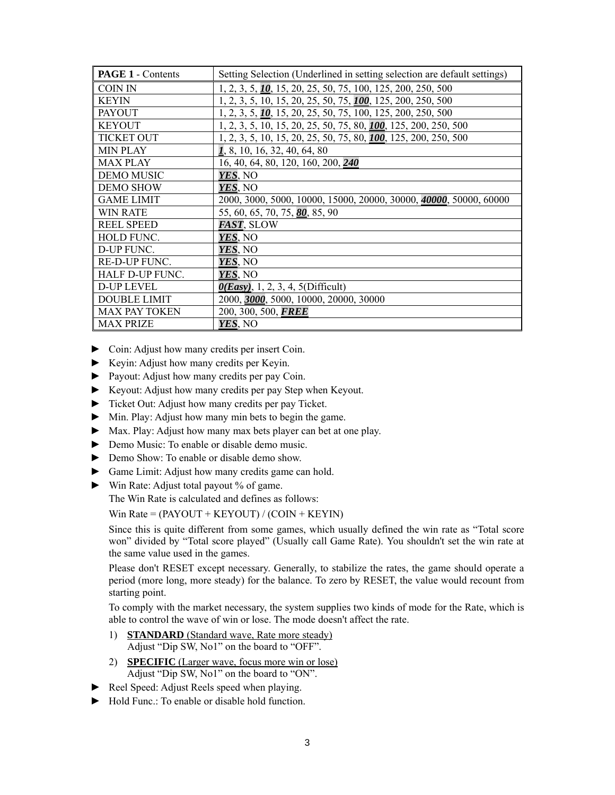| <b>PAGE 1 - Contents</b> | Setting Selection (Underlined in setting selection are default settings) |
|--------------------------|--------------------------------------------------------------------------|
| COIN IN                  | 1, 2, 3, 5, 10, 15, 20, 25, 50, 75, 100, 125, 200, 250, 500              |
| <b>KEYIN</b>             | 1, 2, 3, 5, 10, 15, 20, 25, 50, 75, 100, 125, 200, 250, 500              |
| <b>PAYOUT</b>            | 1, 2, 3, 5, 10, 15, 20, 25, 50, 75, 100, 125, 200, 250, 500              |
| <b>KEYOUT</b>            | 1, 2, 3, 5, 10, 15, 20, 25, 50, 75, 80, 100, 125, 200, 250, 500          |
| <b>TICKET OUT</b>        | 1, 2, 3, 5, 10, 15, 20, 25, 50, 75, 80, <b>100</b> , 125, 200, 250, 500  |
| <b>MIN PLAY</b>          | 1, 8, 10, 16, 32, 40, 64, 80                                             |
| <b>MAX PLAY</b>          | 16, 40, 64, 80, 120, 160, 200, 240                                       |
| <b>DEMO MUSIC</b>        | YES, NO                                                                  |
| <b>DEMO SHOW</b>         | YES, NO                                                                  |
| <b>GAME LIMIT</b>        | 2000, 3000, 5000, 10000, 15000, 20000, 30000, 40000, 50000, 60000        |
| <b>WIN RATE</b>          | 55, 60, 65, 70, 75, 80, 85, 90                                           |
| <b>REEL SPEED</b>        | FAST, SLOW                                                               |
| <b>HOLD FUNC.</b>        | YES, NO                                                                  |
| D-UP FUNC.               | YES, NO                                                                  |
| <b>RE-D-UP FUNC.</b>     | YES, NO                                                                  |
| HALF D-UP FUNC.          | YES, NO                                                                  |
| D-UP LEVEL               | $0(Easy)$ , 1, 2, 3, 4, 5(Difficult)                                     |
| <b>DOUBLE LIMIT</b>      | 2000, 3000, 5000, 10000, 20000, 30000                                    |
| <b>MAX PAY TOKEN</b>     | 200, 300, 500, FREE                                                      |
| <b>MAX PRIZE</b>         | YES, NO                                                                  |

- ► Coin: Adjust how many credits per insert Coin.
- ► Keyin: Adjust how many credits per Keyin.
- ► Payout: Adjust how many credits per pay Coin.
- ► Keyout: Adjust how many credits per pay Step when Keyout.
- ► Ticket Out: Adjust how many credits per pay Ticket.
- ► Min. Play: Adjust how many min bets to begin the game.
- ► Max. Play: Adjust how many max bets player can bet at one play.
- ► Demo Music: To enable or disable demo music.
- ► Demo Show: To enable or disable demo show.
- ► Game Limit: Adjust how many credits game can hold.
- ► Win Rate: Adjust total payout % of game.

The Win Rate is calculated and defines as follows:

Win Rate =  $(PAYOUT + KEYOUT) / (CON + KEYIN)$ 

Since this is quite different from some games, which usually defined the win rate as "Total score won" divided by "Total score played" (Usually call Game Rate). You shouldn't set the win rate at the same value used in the games.

Please don't RESET except necessary. Generally, to stabilize the rates, the game should operate a period (more long, more steady) for the balance. To zero by RESET, the value would recount from starting point.

To comply with the market necessary, the system supplies two kinds of mode for the Rate, which is able to control the wave of win or lose. The mode doesn't affect the rate.

- 1) **STANDARD** (Standard wave, Rate more steady) Adjust "Dip SW, No1" on the board to "OFF".
- 2) **SPECIFIC** (Larger wave, focus more win or lose) Adjust "Dip SW, No1" on the board to "ON".
- ► Reel Speed: Adjust Reels speed when playing.
- ► Hold Func.: To enable or disable hold function.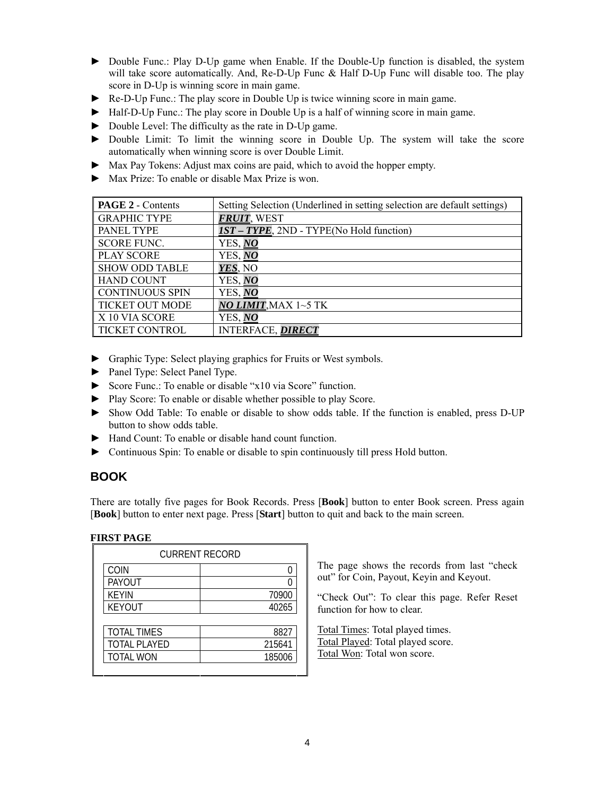- ► Double Func.: Play D-Up game when Enable. If the Double-Up function is disabled, the system will take score automatically. And, Re-D-Up Func & Half D-Up Func will disable too. The play score in D-Up is winning score in main game.
- ► Re-D-Up Func.: The play score in Double Up is twice winning score in main game.
- ► Half-D-Up Func.: The play score in Double Up is a half of winning score in main game.
- ► Double Level: The difficulty as the rate in D-Up game.
- ► Double Limit: To limit the winning score in Double Up. The system will take the score automatically when winning score is over Double Limit.
- ► Max Pay Tokens: Adjust max coins are paid, which to avoid the hopper empty.
- ► Max Prize: To enable or disable Max Prize is won.

| <b>PAGE 2 - Contents</b> | Setting Selection (Underlined in setting selection are default settings) |
|--------------------------|--------------------------------------------------------------------------|
| <b>GRAPHIC TYPE</b>      | FRUIT, WEST                                                              |
| <b>PANEL TYPE</b>        | <b>IST - TYPE, 2ND - TYPE(No Hold function)</b>                          |
| <b>SCORE FUNC.</b>       | YES, NO                                                                  |
| <b>PLAY SCORE</b>        | YES, NO                                                                  |
| <b>SHOW ODD TABLE</b>    | YES, NO                                                                  |
| <b>HAND COUNT</b>        | YES, NO                                                                  |
| <b>CONTINUOUS SPIN</b>   | YES, NO                                                                  |
| <b>TICKET OUT MODE</b>   | NO LIMIT, MAX 1~5 TK                                                     |
| X 10 VIA SCORE           | YES, NO                                                                  |
| TICKET CONTROL           | <b>INTERFACE, DIRECT</b>                                                 |

- ► Graphic Type: Select playing graphics for Fruits or West symbols.
- ► Panel Type: Select Panel Type.
- ► Score Func.: To enable or disable "x10 via Score" function.
- ► Play Score: To enable or disable whether possible to play Score.
- ► Show Odd Table: To enable or disable to show odds table. If the function is enabled, press D-UP button to show odds table.
- ► Hand Count: To enable or disable hand count function.
- ► Continuous Spin: To enable or disable to spin continuously till press Hold button.

# **BOOK**

There are totally five pages for Book Records. Press [**Book**] button to enter Book screen. Press again [**Book**] button to enter next page. Press [**Start**] button to quit and back to the main screen.

### **FIRST PAGE**

| <b>CURRENT RECORD</b> |        |  |  |  |  |
|-----------------------|--------|--|--|--|--|
| COIN                  |        |  |  |  |  |
| PAYOUT                |        |  |  |  |  |
| <b>KEYIN</b>          | 70900  |  |  |  |  |
| <b>KEYOUT</b>         | 40265  |  |  |  |  |
|                       |        |  |  |  |  |
| <b>TOTAL TIMES</b>    | 8827   |  |  |  |  |
| <b>TOTAL PLAYED</b>   | 215641 |  |  |  |  |
| <b>TOTAL WON</b>      | 185006 |  |  |  |  |
|                       |        |  |  |  |  |

The page shows the records from last "check out" for Coin, Payout, Keyin and Keyout.

"Check Out": To clear this page. Refer Reset function for how to clear.

Total Times: Total played times. Total Played: Total played score. Total Won: Total won score.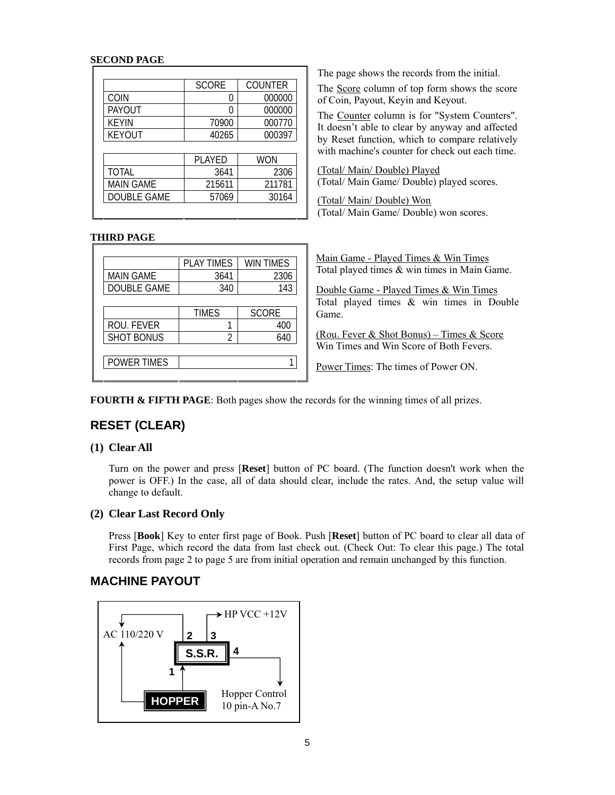#### **SECOND PAGE**

|                  | <b>SCORE</b> | <b>COUNTER</b> |
|------------------|--------------|----------------|
| COIN             |              | 000000         |
| <b>PAYOUT</b>    |              | 000000         |
| <b>KEYIN</b>     | 70900        | 000770         |
| <b>KEYOUT</b>    | 40265        | 000397         |
|                  |              |                |
|                  | PLAYED       | WON            |
| <b>TOTAL</b>     | 3641         | 2306           |
| <b>MAIN GAME</b> | 215611       | 211781         |
|                  |              | 30164          |

The page shows the records from the initial.

The Score column of top form shows the score of Coin, Payout, Keyin and Keyout.

The Counter column is for "System Counters". It doesn't able to clear by anyway and affected by Reset function, which to compare relatively with machine's counter for check out each time.

(Total/ Main/ Double) Played (Total/ Main Game/ Double) played scores.

(Total/ Main/ Double) Won (Total/ Main Game/ Double) won scores.

#### **THIRD PAGE**

|                   | <b>PLAY TIMES</b> | <b>WIN TIMES</b> |
|-------------------|-------------------|------------------|
| <b>MAIN GAME</b>  | 3641              | 2306             |
| DOUBLE GAME       | 340               | 143              |
|                   |                   |                  |
|                   | <b>TIMES</b>      | <b>SCORE</b>     |
| ROU. FEVER        |                   | 400              |
| <b>SHOT BONUS</b> |                   | 640              |
|                   |                   |                  |
| POWER TIMES       |                   |                  |
|                   |                   |                  |

Main Game - Played Times & Win Times Total played times & win times in Main Game.

Double Game - Played Times & Win Times Total played times & win times in Double Game.

(Rou. Fever & Shot Bonus) – Times & Score Win Times and Win Score of Both Fevers.

Power Times: The times of Power ON.

**FOURTH & FIFTH PAGE:** Both pages show the records for the winning times of all prizes.

# **RESET (CLEAR)**

### **(1) Clear All**

Turn on the power and press [**Reset**] button of PC board. (The function doesn't work when the power is OFF.) In the case, all of data should clear, include the rates. And, the setup value will change to default.

#### **(2) Clear Last Record Only**

Press [**Book**] Key to enter first page of Book. Push [**Reset**] button of PC board to clear all data of First Page, which record the data from last check out. (Check Out: To clear this page.) The total records from page 2 to page 5 are from initial operation and remain unchanged by this function.

### **MACHINE PAYOUT**

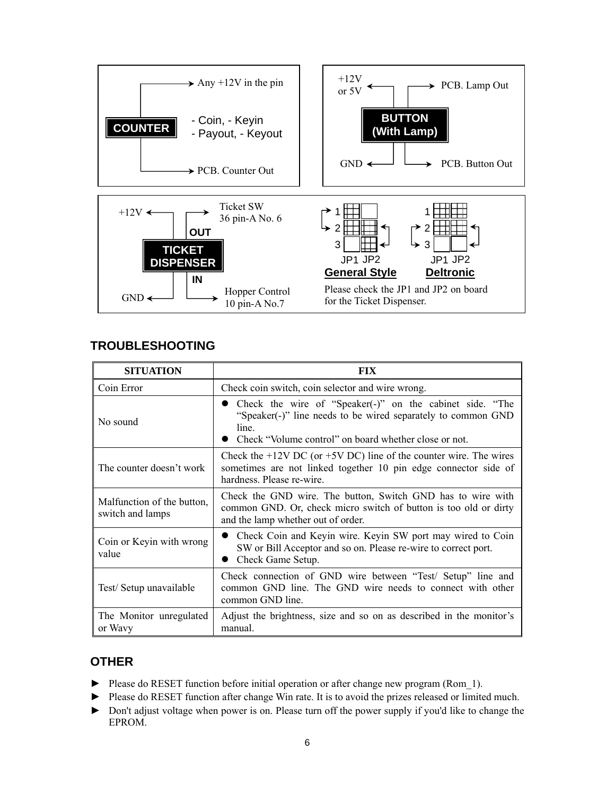

## **TROUBLESHOOTING**

| <b>SITUATION</b>                               | <b>FIX</b>                                                                                                                                                                                   |  |  |  |  |
|------------------------------------------------|----------------------------------------------------------------------------------------------------------------------------------------------------------------------------------------------|--|--|--|--|
| Coin Error                                     | Check coin switch, coin selector and wire wrong.                                                                                                                                             |  |  |  |  |
| No sound                                       | • Check the wire of "Speaker(-)" on the cabinet side. "The<br>"Speaker(-)" line needs to be wired separately to common GND<br>line.<br>Check "Volume control" on board whether close or not. |  |  |  |  |
| The counter doesn't work                       | Check the $+12V$ DC (or $+5V$ DC) line of the counter wire. The wires<br>sometimes are not linked together 10 pin edge connector side of<br>hardness. Please re-wire.                        |  |  |  |  |
| Malfunction of the button,<br>switch and lamps | Check the GND wire. The button, Switch GND has to wire with<br>common GND. Or, check micro switch of button is too old or dirty<br>and the lamp whether out of order.                        |  |  |  |  |
| Coin or Keyin with wrong<br>value              | • Check Coin and Keyin wire. Keyin SW port may wired to Coin<br>SW or Bill Acceptor and so on. Please re-wire to correct port.<br>Check Game Setup.                                          |  |  |  |  |
| Test/Setup unavailable                         | Check connection of GND wire between "Test/ Setup" line and<br>common GND line. The GND wire needs to connect with other<br>common GND line.                                                 |  |  |  |  |
| The Monitor unregulated<br>or Wavy             | Adjust the brightness, size and so on as described in the monitor's<br>manual.                                                                                                               |  |  |  |  |

# **OTHER**

- ► Please do RESET function before initial operation or after change new program (Rom 1).
- ► Please do RESET function after change Win rate. It is to avoid the prizes released or limited much.
- ► Don't adjust voltage when power is on. Please turn off the power supply if you'd like to change the EPROM.